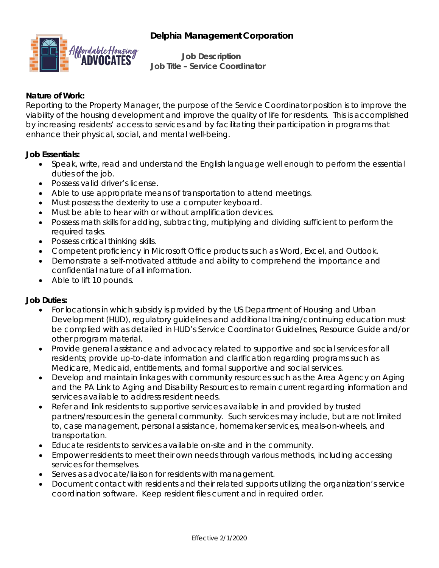# **Delphia Management Corporation**



**Job Description Job Title – Service Coordinator**

#### **Nature of Work:**

Reporting to the Property Manager, the purpose of the Service Coordinator position is to improve the viability of the housing development and improve the quality of life for residents. This is accomplished by increasing residents' access to services and by facilitating their participation in programs that enhance their physical, social, and mental well-being.

#### **Job Essentials:**

- Speak, write, read and understand the English language well enough to perform the essential duties of the job.
- Possess valid driver's license.
- Able to use appropriate means of transportation to attend meetings.
- Must possess the dexterity to use a computer keyboard.
- Must be able to hear with or without amplification devices.
- Possess math skills for adding, subtracting, multiplying and dividing sufficient to perform the required tasks.
- Possess critical thinking skills.
- Competent proficiency in Microsoft Office products such as Word, Excel, and Outlook.
- Demonstrate a self-motivated attitude and ability to comprehend the importance and confidential nature of all information.
- Able to lift 10 pounds.

### **Job Duties:**

- For locations in which subsidy is provided by the US Department of Housing and Urban Development (HUD), regulatory guidelines and additional training/continuing education must be complied with as detailed in HUD's Service Coordinator Guidelines, Resource Guide and/or other program material.
- Provide general assistance and advocacy related to supportive and social services for all residents; provide up-to-date information and clarification regarding programs such as Medicare, Medicaid, entitlements, and formal supportive and social services.
- Develop and maintain linkages with community resources such as the Area Agency on Aging and the PA Link to Aging and Disability Resources to remain current regarding information and services available to address resident needs.
- Refer and link residents to supportive services available in and provided by trusted partners/resources in the general community. Such services may include, but are not limited to, case management, personal assistance, homemaker services, meals-on-wheels, and transportation.
- Educate residents to services available on-site and in the community.
- Empower residents to meet their own needs through various methods, including accessing services for themselves.
- Serves as advocate/liaison for residents with management.
- Document contact with residents and their related supports utilizing the organization's service coordination software. Keep resident files current and in required order.